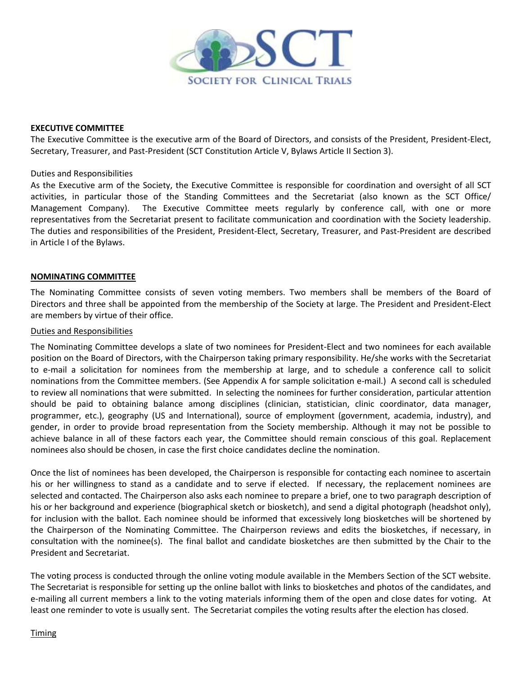

#### **EXECUTIVE COMMITTEE**

The Executive Committee is the executive arm of the Board of Directors, and consists of the President, President-Elect, Secretary, Treasurer, and Past-President (SCT Constitution Article V, Bylaws Article II Section 3).

#### Duties and Responsibilities

As the Executive arm of the Society, the Executive Committee is responsible for coordination and oversight of all SCT activities, in particular those of the Standing Committees and the Secretariat (also known as the SCT Office/ Management Company). The Executive Committee meets regularly by conference call, with one or more representatives from the Secretariat present to facilitate communication and coordination with the Society leadership. The duties and responsibilities of the President, President-Elect, Secretary, Treasurer, and Past-President are described in Article I of the Bylaws.

#### **NOMINATING COMMITTEE**

The Nominating Committee consists of seven voting members. Two members shall be members of the Board of Directors and three shall be appointed from the membership of the Society at large. The President and President-Elect are members by virtue of their office.

#### Duties and Responsibilities

The Nominating Committee develops a slate of two nominees for President-Elect and two nominees for each available position on the Board of Directors, with the Chairperson taking primary responsibility. He/she works with the Secretariat to e-mail a solicitation for nominees from the membership at large, and to schedule a conference call to solicit nominations from the Committee members. (See Appendix A for sample solicitation e-mail.) A second call is scheduled to review all nominations that were submitted. In selecting the nominees for further consideration, particular attention should be paid to obtaining balance among disciplines (clinician, statistician, clinic coordinator, data manager, programmer, etc.), geography (US and International), source of employment (government, academia, industry), and gender, in order to provide broad representation from the Society membership. Although it may not be possible to achieve balance in all of these factors each year, the Committee should remain conscious of this goal. Replacement nominees also should be chosen, in case the first choice candidates decline the nomination.

Once the list of nominees has been developed, the Chairperson is responsible for contacting each nominee to ascertain his or her willingness to stand as a candidate and to serve if elected. If necessary, the replacement nominees are selected and contacted. The Chairperson also asks each nominee to prepare a brief, one to two paragraph description of his or her background and experience (biographical sketch or biosketch), and send a digital photograph (headshot only), for inclusion with the ballot. Each nominee should be informed that excessively long biosketches will be shortened by the Chairperson of the Nominating Committee. The Chairperson reviews and edits the biosketches, if necessary, in consultation with the nominee(s). The final ballot and candidate biosketches are then submitted by the Chair to the President and Secretariat.

The voting process is conducted through the online voting module available in the Members Section of the SCT website. The Secretariat is responsible for setting up the online ballot with links to biosketches and photos of the candidates, and e-mailing all current members a link to the voting materials informing them of the open and close dates for voting. At least one reminder to vote is usually sent. The Secretariat compiles the voting results after the election has closed.

#### **Timing**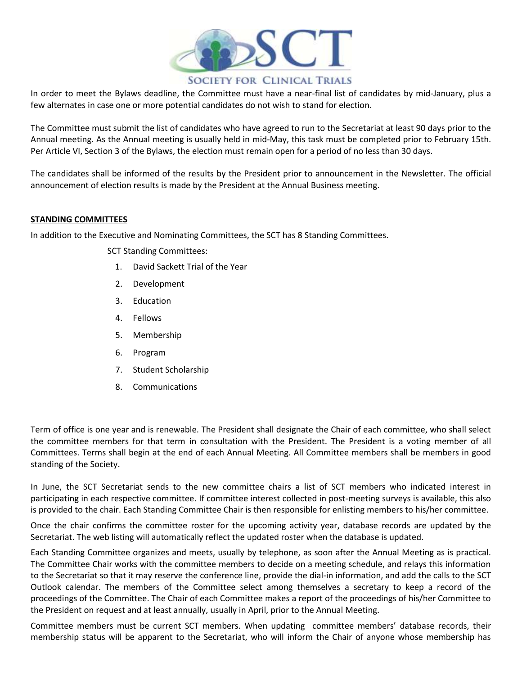

In order to meet the Bylaws deadline, the Committee must have a near-final list of candidates by mid-January, plus a few alternates in case one or more potential candidates do not wish to stand for election.

The Committee must submit the list of candidates who have agreed to run to the Secretariat at least 90 days prior to the Annual meeting. As the Annual meeting is usually held in mid-May, this task must be completed prior to February 15th. Per Article VI, Section 3 of the Bylaws, the election must remain open for a period of no less than 30 days.

The candidates shall be informed of the results by the President prior to announcement in the Newsletter. The official announcement of election results is made by the President at the Annual Business meeting.

#### **STANDING COMMITTEES**

In addition to the Executive and Nominating Committees, the SCT has 8 Standing Committees.

SCT Standing Committees:

- 1. David Sackett Trial of the Year
- 2. Development
- 3. Education
- 4. Fellows
- 5. Membership
- 6. Program
- 7. Student Scholarship
- 8. Communications

Term of office is one year and is renewable. The President shall designate the Chair of each committee, who shall select the committee members for that term in consultation with the President. The President is a voting member of all Committees. Terms shall begin at the end of each Annual Meeting. All Committee members shall be members in good standing of the Society.

In June, the SCT Secretariat sends to the new committee chairs a list of SCT members who indicated interest in participating in each respective committee. If committee interest collected in post-meeting surveys is available, this also is provided to the chair. Each Standing Committee Chair is then responsible for enlisting members to his/her committee.

Once the chair confirms the committee roster for the upcoming activity year, database records are updated by the Secretariat. The web listing will automatically reflect the updated roster when the database is updated.

Each Standing Committee organizes and meets, usually by telephone, as soon after the Annual Meeting as is practical. The Committee Chair works with the committee members to decide on a meeting schedule, and relays this information to the Secretariat so that it may reserve the conference line, provide the dial-in information, and add the calls to the SCT Outlook calendar. The members of the Committee select among themselves a secretary to keep a record of the proceedings of the Committee. The Chair of each Committee makes a report of the proceedings of his/her Committee to the President on request and at least annually, usually in April, prior to the Annual Meeting.

Committee members must be current SCT members. When updating committee members' database records, their membership status will be apparent to the Secretariat, who will inform the Chair of anyone whose membership has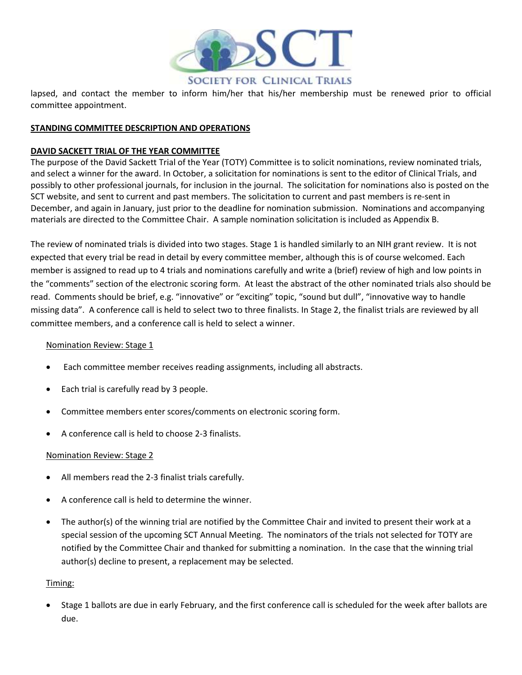

lapsed, and contact the member to inform him/her that his/her membership must be renewed prior to official committee appointment.

#### **STANDING COMMITTEE DESCRIPTION AND OPERATIONS**

#### **DAVID SACKETT TRIAL OF THE YEAR COMMITTEE**

The purpose of the David Sackett Trial of the Year (TOTY) Committee is to solicit nominations, review nominated trials, and select a winner for the award. In October, a solicitation for nominations is sent to the editor of Clinical Trials, and possibly to other professional journals, for inclusion in the journal. The solicitation for nominations also is posted on the SCT website, and sent to current and past members. The solicitation to current and past members is re-sent in December, and again in January, just prior to the deadline for nomination submission. Nominations and accompanying materials are directed to the Committee Chair. A sample nomination solicitation is included as Appendix B.

The review of nominated trials is divided into two stages. Stage 1 is handled similarly to an NIH grant review. It is not expected that every trial be read in detail by every committee member, although this is of course welcomed. Each member is assigned to read up to 4 trials and nominations carefully and write a (brief) review of high and low points in the "comments" section of the electronic scoring form. At least the abstract of the other nominated trials also should be read. Comments should be brief, e.g. "innovative" or "exciting" topic, "sound but dull", "innovative way to handle missing data". A conference call is held to select two to three finalists. In Stage 2, the finalist trials are reviewed by all committee members, and a conference call is held to select a winner.

#### Nomination Review: Stage 1

- Each committee member receives reading assignments, including all abstracts.
- Each trial is carefully read by 3 people.
- Committee members enter scores/comments on electronic scoring form.
- A conference call is held to choose 2-3 finalists.

#### Nomination Review: Stage 2

- All members read the 2-3 finalist trials carefully.
- A conference call is held to determine the winner.
- The author(s) of the winning trial are notified by the Committee Chair and invited to present their work at a special session of the upcoming SCT Annual Meeting. The nominators of the trials not selected for TOTY are notified by the Committee Chair and thanked for submitting a nomination. In the case that the winning trial author(s) decline to present, a replacement may be selected.

#### Timing:

 Stage 1 ballots are due in early February, and the first conference call is scheduled for the week after ballots are due.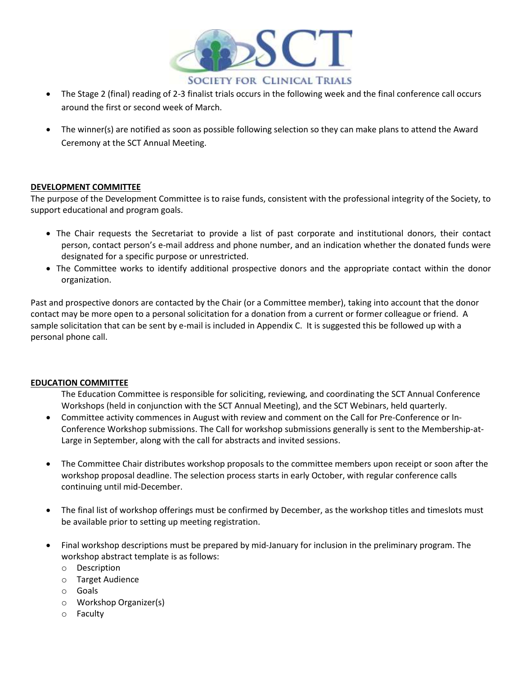

- The Stage 2 (final) reading of 2-3 finalist trials occurs in the following week and the final conference call occurs around the first or second week of March.
- The winner(s) are notified as soon as possible following selection so they can make plans to attend the Award Ceremony at the SCT Annual Meeting.

#### **DEVELOPMENT COMMITTEE**

The purpose of the Development Committee is to raise funds, consistent with the professional integrity of the Society, to support educational and program goals.

- The Chair requests the Secretariat to provide a list of past corporate and institutional donors, their contact person, contact person's e-mail address and phone number, and an indication whether the donated funds were designated for a specific purpose or unrestricted.
- The Committee works to identify additional prospective donors and the appropriate contact within the donor organization.

Past and prospective donors are contacted by the Chair (or a Committee member), taking into account that the donor contact may be more open to a personal solicitation for a donation from a current or former colleague or friend. A sample solicitation that can be sent by e-mail is included in Appendix C. It is suggested this be followed up with a personal phone call.

#### **EDUCATION COMMITTEE**

The Education Committee is responsible for soliciting, reviewing, and coordinating the SCT Annual Conference Workshops (held in conjunction with the SCT Annual Meeting), and the SCT Webinars, held quarterly.

- Committee activity commences in August with review and comment on the Call for Pre-Conference or In-Conference Workshop submissions. The Call for workshop submissions generally is sent to the Membership-at-Large in September, along with the call for abstracts and invited sessions.
- The Committee Chair distributes workshop proposals to the committee members upon receipt or soon after the workshop proposal deadline. The selection process starts in early October, with regular conference calls continuing until mid-December.
- The final list of workshop offerings must be confirmed by December, as the workshop titles and timeslots must be available prior to setting up meeting registration.
- Final workshop descriptions must be prepared by mid-January for inclusion in the preliminary program. The workshop abstract template is as follows:
	- o Description
	- o Target Audience
	- o Goals
	- o Workshop Organizer(s)
	- o Faculty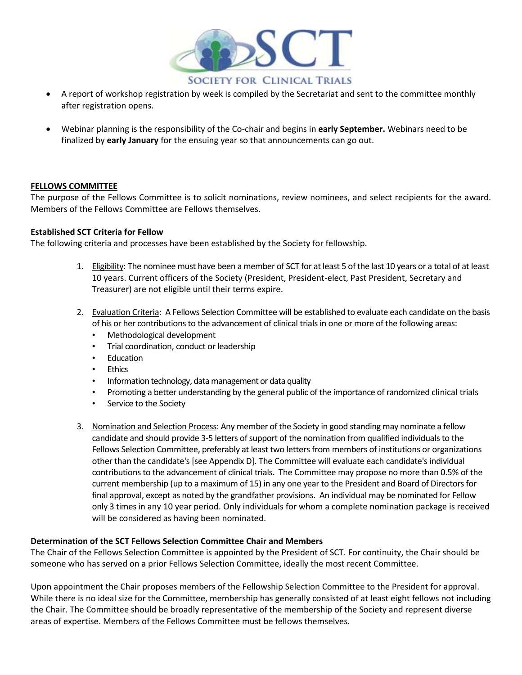

- A report of workshop registration by week is compiled by the Secretariat and sent to the committee monthly after registration opens.
- Webinar planning is the responsibility of the Co-chair and begins in **early September.** Webinars need to be finalized by **early January** for the ensuing year so that announcements can go out.

#### **FELLOWS COMMITTEE**

The purpose of the Fellows Committee is to solicit nominations, review nominees, and select recipients for the award. Members of the Fellows Committee are Fellows themselves.

#### **Established SCT Criteria for Fellow**

The following criteria and processes have been established by the Society for fellowship.

- 1. Eligibility: The nominee must have been a member of SCT for at least 5 of the last 10 years or a total of at least 10 years. Current officers of the Society (President, President-elect, Past President, Secretary and Treasurer) are not eligible until their terms expire.
- 2. Evaluation Criteria: A Fellows Selection Committee will be established to evaluate each candidate on the basis of his or her contributions to the advancement of clinical trials in one or more of the following areas:
	- Methodological development
	- Trial coordination, conduct or leadership
	- Education
	- Ethics
	- Information technology, data management or data quality
	- Promoting a better understanding by the general public of the importance of randomized clinical trials
	- Service to the Society
- 3. Nomination and Selection Process: Any member of the Society in good standing may nominate a fellow candidate and should provide 3-5 letters of support of the nomination from qualified individuals to the Fellows Selection Committee, preferably at least two letters from members of institutions or organizations other than the candidate's [see Appendix D]. The Committee will evaluate each candidate's individual contributions to the advancement of clinical trials. The Committee may propose no more than 0.5% of the current membership (up to a maximum of 15) in any one year to the President and Board of Directors for final approval, except as noted by the grandfather provisions. An individual may be nominated for Fellow only 3 times in any 10 year period. Only individuals for whom a complete nomination package is received will be considered as having been nominated.

#### **Determination of the SCT Fellows Selection Committee Chair and Members**

The Chair of the Fellows Selection Committee is appointed by the President of SCT. For continuity, the Chair should be someone who has served on a prior Fellows Selection Committee, ideally the most recent Committee.

Upon appointment the Chair proposes members of the Fellowship Selection Committee to the President for approval. While there is no ideal size for the Committee, membership has generally consisted of at least eight fellows not including the Chair. The Committee should be broadly representative of the membership of the Society and represent diverse areas of expertise. Members of the Fellows Committee must be fellows themselves.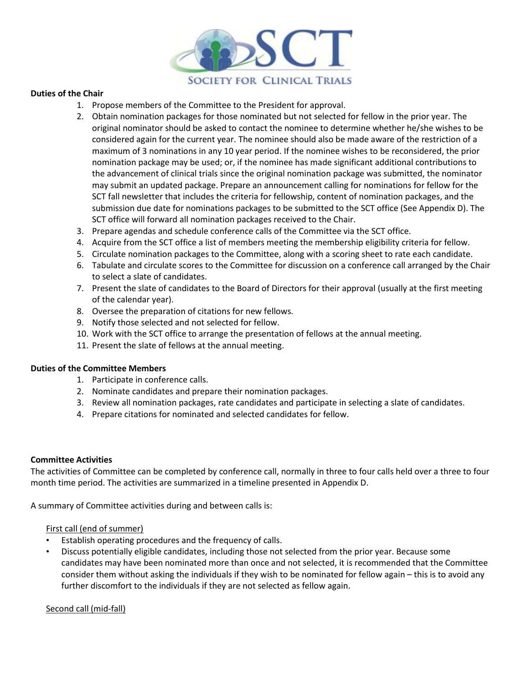

#### **Duties of the Chair**

- 1. Propose members of the Committee to the President for approval.
- 2. Obtain nomination packages for those nominated but not selected for fellow in the prior year. The original nominator should be asked to contact the nominee to determine whether he/she wishes to be considered again for the current year. The nominee should also be made aware of the restriction of a maximum of 3 nominations in any 10 year period. If the nominee wishes to be reconsidered, the prior nomination package may be used; or, if the nominee has made significant additional contributions to the advancement of clinical trials since the original nomination package was submitted, the nominator may submit an updated package. Prepare an announcement calling for nominations for fellow for the SCT fall newsletter that includes the criteria for fellowship, content of nomination packages, and the submission due date for nominations packages to be submitted to the SCT office (See Appendix D). The SCT office will forward all nomination packages received to the Chair.
- 3. Prepare agendas and schedule conference calls of the Committee via the SCT office.
- 4. Acquire from the SCT office a list of members meeting the membership eligibility criteria for fellow.
- 5. Circulate nomination packages to the Committee, along with a scoring sheet to rate each candidate.
- 6. Tabulate and circulate scores to the Committee for discussion on a conference call arranged by the Chair to select a slate of candidates.
- 7. Present the slate of candidates to the Board of Directors for their approval (usually at the first meeting of the calendar year).
- 8. Oversee the preparation of citations for new fellows.
- 9. Notify those selected and not selected for fellow.
- 10. Work with the SCT office to arrange the presentation of fellows at the annual meeting.
- 11. Present the slate of fellows at the annual meeting.

#### **Duties of the Committee Members**

- 1. Participate in conference calls.
- 2. Nominate candidates and prepare their nomination packages.
- 3. Review all nomination packages, rate candidates and participate in selecting a slate of candidates.
- 4. Prepare citations for nominated and selected candidates for fellow.

#### **Committee Activities**

The activities of Committee can be completed by conference call, normally in three to four calls held over a three to four month time period. The activities are summarized in a timeline presented in Appendix D.

A summary of Committee activities during and between calls is:

#### First call (end of summer)

- Establish operating procedures and the frequency of calls.
- Discuss potentially eligible candidates, including those not selected from the prior year. Because some candidates may have been nominated more than once and not selected, it is recommended that the Committee consider them without asking the individuals if they wish to be nominated for fellow again – this is to avoid any further discomfort to the individuals if they are not selected as fellow again.

#### Second call (mid-fall)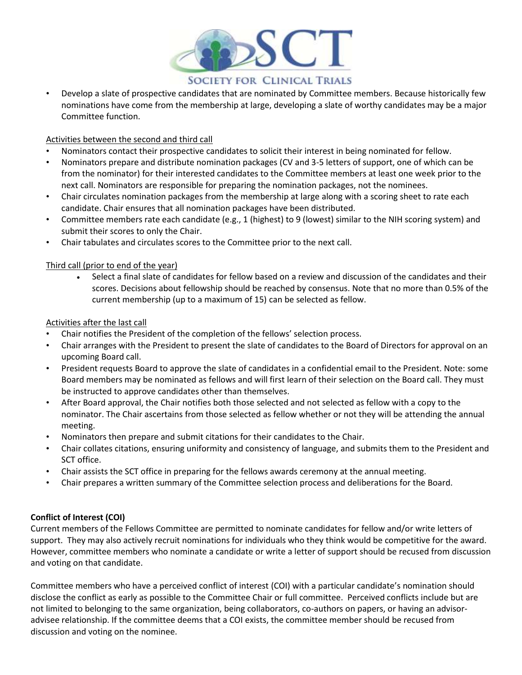

• Develop a slate of prospective candidates that are nominated by Committee members. Because historically few nominations have come from the membership at large, developing a slate of worthy candidates may be a major Committee function.

#### Activities between the second and third call

- Nominators contact their prospective candidates to solicit their interest in being nominated for fellow.
- Nominators prepare and distribute nomination packages (CV and 3-5 letters of support, one of which can be from the nominator) for their interested candidates to the Committee members at least one week prior to the next call. Nominators are responsible for preparing the nomination packages, not the nominees.
- Chair circulates nomination packages from the membership at large along with a scoring sheet to rate each candidate. Chair ensures that all nomination packages have been distributed.
- Committee members rate each candidate (e.g., 1 (highest) to 9 (lowest) similar to the NIH scoring system) and submit their scores to only the Chair.
- Chair tabulates and circulates scores to the Committee prior to the next call.

#### Third call (prior to end of the year)

 Select a final slate of candidates for fellow based on a review and discussion of the candidates and their scores. Decisions about fellowship should be reached by consensus. Note that no more than 0.5% of the current membership (up to a maximum of 15) can be selected as fellow.

#### Activities after the last call

- Chair notifies the President of the completion of the fellows' selection process.
- Chair arranges with the President to present the slate of candidates to the Board of Directors for approval on an upcoming Board call.
- President requests Board to approve the slate of candidates in a confidential email to the President. Note: some Board members may be nominated as fellows and will first learn of their selection on the Board call. They must be instructed to approve candidates other than themselves.
- After Board approval, the Chair notifies both those selected and not selected as fellow with a copy to the nominator. The Chair ascertains from those selected as fellow whether or not they will be attending the annual meeting.
- Nominators then prepare and submit citations for their candidates to the Chair.
- Chair collates citations, ensuring uniformity and consistency of language, and submits them to the President and SCT office.
- Chair assists the SCT office in preparing for the fellows awards ceremony at the annual meeting.
- Chair prepares a written summary of the Committee selection process and deliberations for the Board.

#### **Conflict of Interest (COI)**

Current members of the Fellows Committee are permitted to nominate candidates for fellow and/or write letters of support. They may also actively recruit nominations for individuals who they think would be competitive for the award. However, committee members who nominate a candidate or write a letter of support should be recused from discussion and voting on that candidate.

Committee members who have a perceived conflict of interest (COI) with a particular candidate's nomination should disclose the conflict as early as possible to the Committee Chair or full committee. Perceived conflicts include but are not limited to belonging to the same organization, being collaborators, co-authors on papers, or having an advisoradvisee relationship. If the committee deems that a COI exists, the committee member should be recused from discussion and voting on the nominee.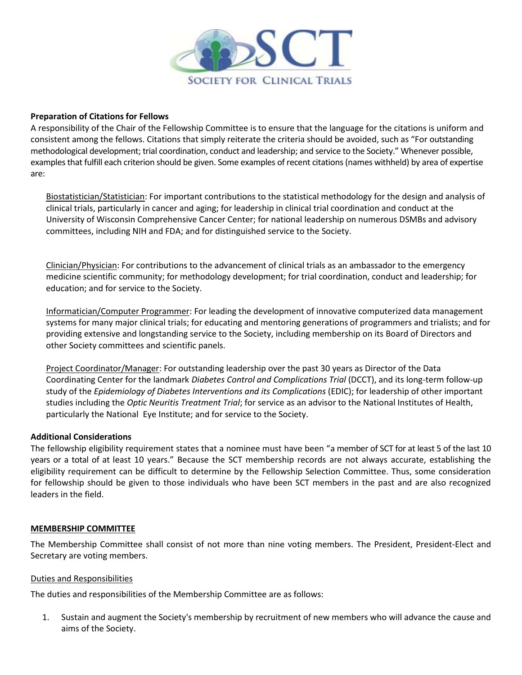

#### **Preparation of Citations for Fellows**

A responsibility of the Chair of the Fellowship Committee is to ensure that the language for the citations is uniform and consistent among the fellows. Citations that simply reiterate the criteria should be avoided, such as "For outstanding methodological development; trial coordination, conduct and leadership; and service to the Society." Whenever possible, examples that fulfill each criterion should be given. Some examples of recent citations (names withheld) by area of expertise are:

Biostatistician/Statistician: For important contributions to the statistical methodology for the design and analysis of clinical trials, particularly in cancer and aging; for leadership in clinical trial coordination and conduct at the University of Wisconsin Comprehensive Cancer Center; for national leadership on numerous DSMBs and advisory committees, including NIH and FDA; and for distinguished service to the Society.

Clinician/Physician: For contributions to the advancement of clinical trials as an ambassador to the emergency medicine scientific community; for methodology development; for trial coordination, conduct and leadership; for education; and for service to the Society.

Informatician/Computer Programmer: For leading the development of innovative computerized data management systems for many major clinical trials; for educating and mentoring generations of programmers and trialists; and for providing extensive and longstanding service to the Society, including membership on its Board of Directors and other Society committees and scientific panels.

Project Coordinator/Manager: For outstanding leadership over the past 30 years as Director of the Data Coordinating Center for the landmark *Diabetes Control and Complications Trial* (DCCT), and its long-term follow-up study of the *Epidemiology of Diabetes Interventions and its Complications* (EDIC); for leadership of other important studies including the *Optic Neuritis Treatment Trial*; for service as an advisor to the National Institutes of Health, particularly the National Eye Institute; and for service to the Society.

#### **Additional Considerations**

The fellowship eligibility requirement states that a nominee must have been "a member of SCT for at least 5 of the last 10 years or a total of at least 10 years." Because the SCT membership records are not always accurate, establishing the eligibility requirement can be difficult to determine by the Fellowship Selection Committee. Thus, some consideration for fellowship should be given to those individuals who have been SCT members in the past and are also recognized leaders in the field.

#### **MEMBERSHIP COMMITTEE**

The Membership Committee shall consist of not more than nine voting members. The President, President-Elect and Secretary are voting members.

#### Duties and Responsibilities

The duties and responsibilities of the Membership Committee are as follows:

1. Sustain and augment the Society's membership by recruitment of new members who will advance the cause and aims of the Society.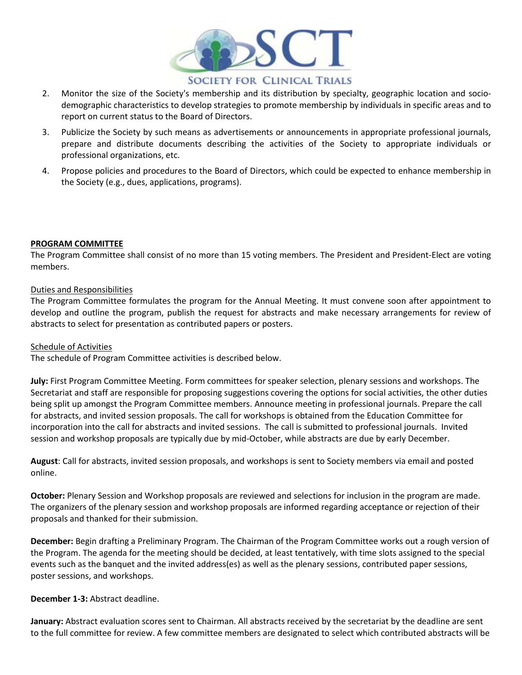

- 2. Monitor the size of the Society's membership and its distribution by specialty, geographic location and sociodemographic characteristics to develop strategies to promote membership by individuals in specific areas and to report on current status to the Board of Directors.
- 3. Publicize the Society by such means as advertisements or announcements in appropriate professional journals, prepare and distribute documents describing the activities of the Society to appropriate individuals or professional organizations, etc.
- 4. Propose policies and procedures to the Board of Directors, which could be expected to enhance membership in the Society (e.g., dues, applications, programs).

#### **PROGRAM COMMITTEE**

The Program Committee shall consist of no more than 15 voting members. The President and President-Elect are voting members.

#### Duties and Responsibilities

The Program Committee formulates the program for the Annual Meeting. It must convene soon after appointment to develop and outline the program, publish the request for abstracts and make necessary arrangements for review of abstracts to select for presentation as contributed papers or posters.

#### Schedule of Activities

The schedule of Program Committee activities is described below.

**July:** First Program Committee Meeting. Form committees for speaker selection, plenary sessions and workshops. The Secretariat and staff are responsible for proposing suggestions covering the options for social activities, the other duties being split up amongst the Program Committee members. Announce meeting in professional journals. Prepare the call for abstracts, and invited session proposals. The call for workshops is obtained from the Education Committee for incorporation into the call for abstracts and invited sessions. The call is submitted to professional journals. Invited session and workshop proposals are typically due by mid-October, while abstracts are due by early December.

**August**: Call for abstracts, invited session proposals, and workshops is sent to Society members via email and posted online.

**October:** Plenary Session and Workshop proposals are reviewed and selections for inclusion in the program are made. The organizers of the plenary session and workshop proposals are informed regarding acceptance or rejection of their proposals and thanked for their submission.

**December:** Begin drafting a Preliminary Program. The Chairman of the Program Committee works out a rough version of the Program. The agenda for the meeting should be decided, at least tentatively, with time slots assigned to the special events such as the banquet and the invited address(es) as well as the plenary sessions, contributed paper sessions, poster sessions, and workshops.

#### **December 1-3:** Abstract deadline.

**January:** Abstract evaluation scores sent to Chairman. All abstracts received by the secretariat by the deadline are sent to the full committee for review. A few committee members are designated to select which contributed abstracts will be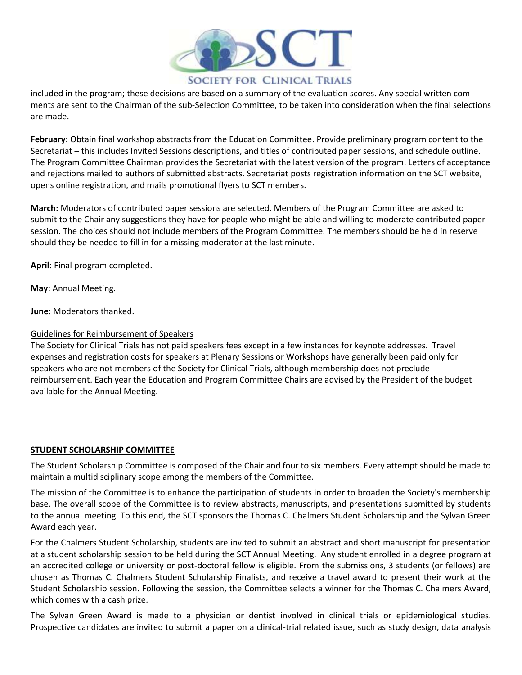

included in the program; these decisions are based on a summary of the evaluation scores. Any special written comments are sent to the Chairman of the sub-Selection Committee, to be taken into consideration when the final selections are made.

**February:** Obtain final workshop abstracts from the Education Committee. Provide preliminary program content to the Secretariat – this includes Invited Sessions descriptions, and titles of contributed paper sessions, and schedule outline. The Program Committee Chairman provides the Secretariat with the latest version of the program. Letters of acceptance and rejections mailed to authors of submitted abstracts. Secretariat posts registration information on the SCT website, opens online registration, and mails promotional flyers to SCT members.

**March:** Moderators of contributed paper sessions are selected. Members of the Program Committee are asked to submit to the Chair any suggestions they have for people who might be able and willing to moderate contributed paper session. The choices should not include members of the Program Committee. The members should be held in reserve should they be needed to fill in for a missing moderator at the last minute.

**April**: Final program completed.

**May**: Annual Meeting.

**June**: Moderators thanked.

#### Guidelines for Reimbursement of Speakers

The Society for Clinical Trials has not paid speakers fees except in a few instances for keynote addresses. Travel expenses and registration costs for speakers at Plenary Sessions or Workshops have generally been paid only for speakers who are not members of the Society for Clinical Trials, although membership does not preclude reimbursement. Each year the Education and Program Committee Chairs are advised by the President of the budget available for the Annual Meeting.

#### **STUDENT SCHOLARSHIP COMMITTEE**

The Student Scholarship Committee is composed of the Chair and four to six members. Every attempt should be made to maintain a multidisciplinary scope among the members of the Committee.

The mission of the Committee is to enhance the participation of students in order to broaden the Society's membership base. The overall scope of the Committee is to review abstracts, manuscripts, and presentations submitted by students to the annual meeting. To this end, the SCT sponsors the Thomas C. Chalmers Student Scholarship and the Sylvan Green Award each year.

For the Chalmers Student Scholarship, students are invited to submit an abstract and short manuscript for presentation at a student scholarship session to be held during the SCT Annual Meeting. Any student enrolled in a degree program at an accredited college or university or post-doctoral fellow is eligible. From the submissions, 3 students (or fellows) are chosen as Thomas C. Chalmers Student Scholarship Finalists, and receive a travel award to present their work at the Student Scholarship session. Following the session, the Committee selects a winner for the Thomas C. Chalmers Award, which comes with a cash prize.

The Sylvan Green Award is made to a physician or dentist involved in clinical trials or epidemiological studies. Prospective candidates are invited to submit a paper on a clinical-trial related issue, such as study design, data analysis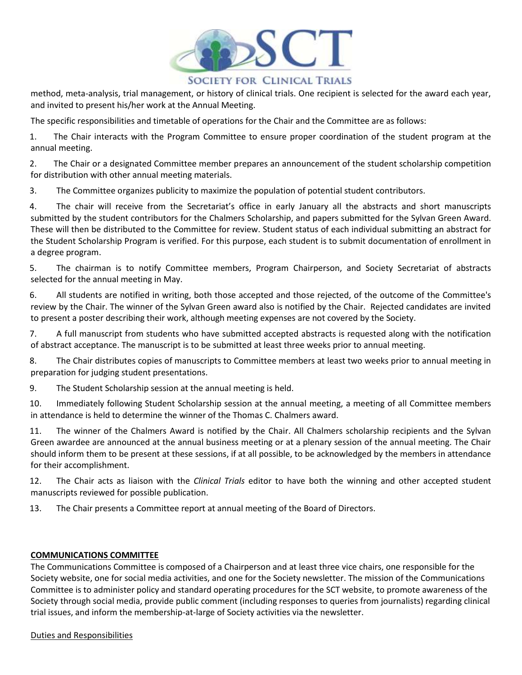

#### **SOCIETY FOR CLINICAL TRIALS**

method, meta-analysis, trial management, or history of clinical trials. One recipient is selected for the award each year, and invited to present his/her work at the Annual Meeting.

The specific responsibilities and timetable of operations for the Chair and the Committee are as follows:

1. The Chair interacts with the Program Committee to ensure proper coordination of the student program at the annual meeting.

2. The Chair or a designated Committee member prepares an announcement of the student scholarship competition for distribution with other annual meeting materials.

3. The Committee organizes publicity to maximize the population of potential student contributors.

4. The chair will receive from the Secretariat's office in early January all the abstracts and short manuscripts submitted by the student contributors for the Chalmers Scholarship, and papers submitted for the Sylvan Green Award. These will then be distributed to the Committee for review. Student status of each individual submitting an abstract for the Student Scholarship Program is verified. For this purpose, each student is to submit documentation of enrollment in a degree program.

5. The chairman is to notify Committee members, Program Chairperson, and Society Secretariat of abstracts selected for the annual meeting in May.

6. All students are notified in writing, both those accepted and those rejected, of the outcome of the Committee's review by the Chair. The winner of the Sylvan Green award also is notified by the Chair. Rejected candidates are invited to present a poster describing their work, although meeting expenses are not covered by the Society.

7. A full manuscript from students who have submitted accepted abstracts is requested along with the notification of abstract acceptance. The manuscript is to be submitted at least three weeks prior to annual meeting.

8. The Chair distributes copies of manuscripts to Committee members at least two weeks prior to annual meeting in preparation for judging student presentations.

9. The Student Scholarship session at the annual meeting is held.

10. Immediately following Student Scholarship session at the annual meeting, a meeting of all Committee members in attendance is held to determine the winner of the Thomas C. Chalmers award.

11. The winner of the Chalmers Award is notified by the Chair. All Chalmers scholarship recipients and the Sylvan Green awardee are announced at the annual business meeting or at a plenary session of the annual meeting. The Chair should inform them to be present at these sessions, if at all possible, to be acknowledged by the members in attendance for their accomplishment.

12. The Chair acts as liaison with the *Clinical Trials* editor to have both the winning and other accepted student manuscripts reviewed for possible publication.

13. The Chair presents a Committee report at annual meeting of the Board of Directors.

#### **COMMUNICATIONS COMMITTEE**

The Communications Committee is composed of a Chairperson and at least three vice chairs, one responsible for the Society website, one for social media activities, and one for the Society newsletter. The mission of the Communications Committee is to administer policy and standard operating procedures for the SCT website, to promote awareness of the Society through social media, provide public comment (including responses to queries from journalists) regarding clinical trial issues, and inform the membership-at-large of Society activities via the newsletter.

Duties and Responsibilities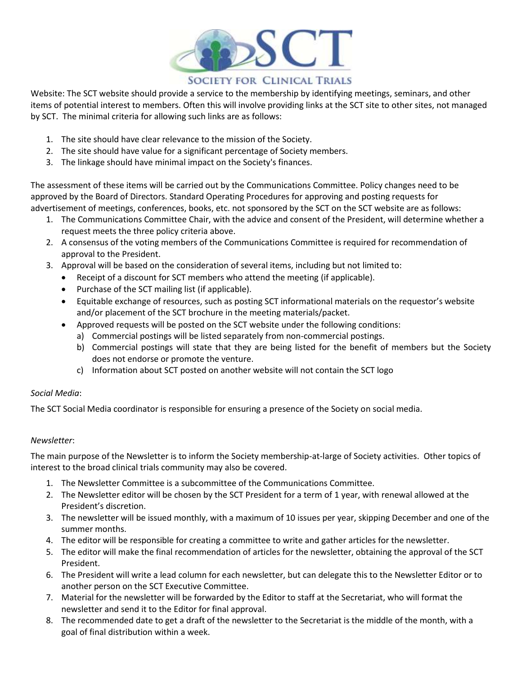

Website: The SCT website should provide a service to the membership by identifying meetings, seminars, and other items of potential interest to members. Often this will involve providing links at the SCT site to other sites, not managed by SCT. The minimal criteria for allowing such links are as follows:

- 1. The site should have clear relevance to the mission of the Society.
- 2. The site should have value for a significant percentage of Society members.
- 3. The linkage should have minimal impact on the Society's finances.

The assessment of these items will be carried out by the Communications Committee. Policy changes need to be approved by the Board of Directors. Standard Operating Procedures for approving and posting requests for advertisement of meetings, conferences, books, etc. not sponsored by the SCT on the SCT website are as follows:

- 1. The Communications Committee Chair, with the advice and consent of the President, will determine whether a request meets the three policy criteria above.
- 2. A consensus of the voting members of the Communications Committee is required for recommendation of approval to the President.
- 3. Approval will be based on the consideration of several items, including but not limited to:
	- Receipt of a discount for SCT members who attend the meeting (if applicable).
	- Purchase of the SCT mailing list (if applicable).
	- Equitable exchange of resources, such as posting SCT informational materials on the requestor's website and/or placement of the SCT brochure in the meeting materials/packet.
	- Approved requests will be posted on the SCT website under the following conditions:
		- a) Commercial postings will be listed separately from non-commercial postings.
		- b) Commercial postings will state that they are being listed for the benefit of members but the Society does not endorse or promote the venture.
		- c) Information about SCT posted on another website will not contain the SCT logo

#### *Social Media*:

The SCT Social Media coordinator is responsible for ensuring a presence of the Society on social media.

#### *Newsletter*:

The main purpose of the Newsletter is to inform the Society membership-at-large of Society activities. Other topics of interest to the broad clinical trials community may also be covered.

- 1. The Newsletter Committee is a subcommittee of the Communications Committee.
- 2. The Newsletter editor will be chosen by the SCT President for a term of 1 year, with renewal allowed at the President's discretion.
- 3. The newsletter will be issued monthly, with a maximum of 10 issues per year, skipping December and one of the summer months.
- 4. The editor will be responsible for creating a committee to write and gather articles for the newsletter.
- 5. The editor will make the final recommendation of articles for the newsletter, obtaining the approval of the SCT President.
- 6. The President will write a lead column for each newsletter, but can delegate this to the Newsletter Editor or to another person on the SCT Executive Committee.
- 7. Material for the newsletter will be forwarded by the Editor to staff at the Secretariat, who will format the newsletter and send it to the Editor for final approval.
- 8. The recommended date to get a draft of the newsletter to the Secretariat is the middle of the month, with a goal of final distribution within a week.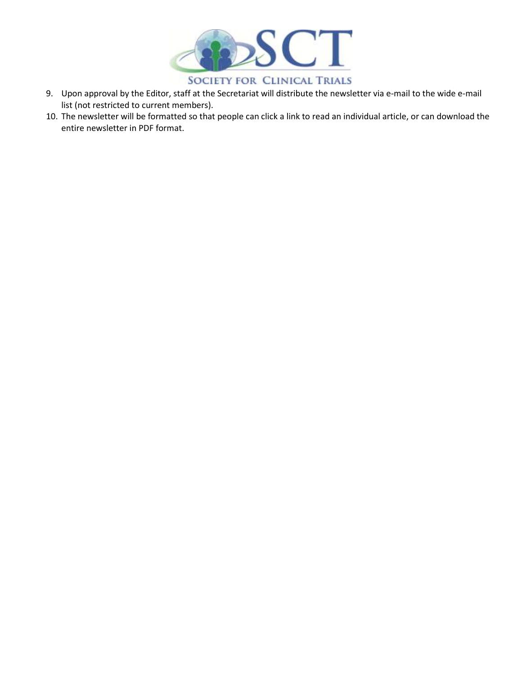

- 9. Upon approval by the Editor, staff at the Secretariat will distribute the newsletter via e-mail to the wide e-mail list (not restricted to current members).
- 10. The newsletter will be formatted so that people can click a link to read an individual article, or can download the entire newsletter in PDF format.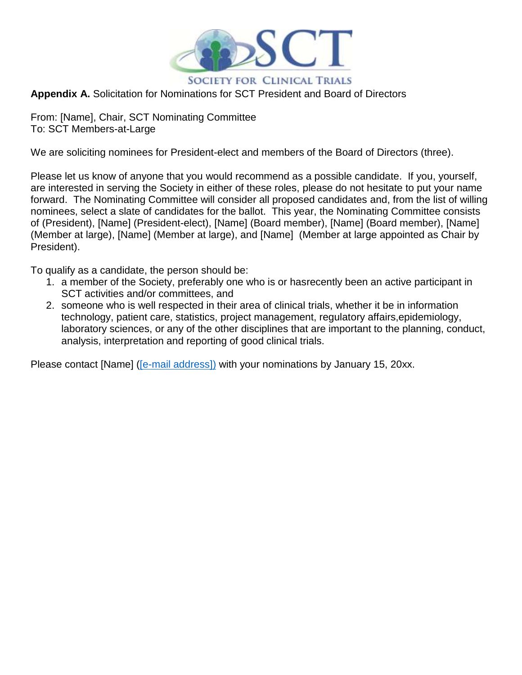

### **Appendix A.** Solicitation for Nominations for SCT President and Board of Directors

From: [Name], Chair, SCT Nominating Committee To: SCT Members-at-Large

We are soliciting nominees for President-elect and members of the Board of Directors (three).

Please let us know of anyone that you would recommend as a possible candidate. If you, yourself, are interested in serving the Society in either of these roles, please do not hesitate to put your name forward. The Nominating Committee will consider all proposed candidates and, from the list of willing nominees, select a slate of candidates for the ballot. This year, the Nominating Committee consists of (President), [Name] (President-elect), [Name] (Board member), [Name] (Board member), [Name] (Member at large), [Name] (Member at large), and [Name] (Member at large appointed as Chair by President).

To qualify as a candidate, the person should be:

- 1. a member of the Society, preferably one who is or hasrecently been an active participant in SCT activities and/or committees, and
- 2. someone who is well respected in their area of clinical trials, whether it be in information technology, patient care, statistics, project management, regulatory affairs,epidemiology, laboratory sciences, or any of the other disciplines that are important to the planning, conduct, analysis, interpretation and reporting of good clinical trials.

Please contact [Name] [\(\[e-mail address\]\)](mailto:kyungmann.kim@wisc.edu)) with your nominations by January 15, 20xx.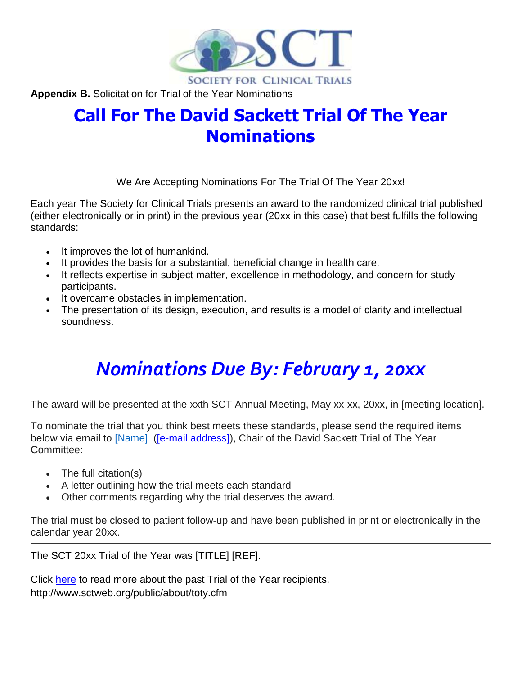

**Appendix B.** Solicitation for Trial of the Year Nominations

## **Call For The David Sackett Trial Of The Year Nominations**

We Are Accepting Nominations For The Trial Of The Year 20xx!

Each year The Society for Clinical Trials presents an award to the randomized clinical trial published (either electronically or in print) in the previous year (20xx in this case) that best fulfills the following standards:

- It improves the lot of humankind.
- It provides the basis for a substantial, beneficial change in health care.
- It reflects expertise in subject matter, excellence in methodology, and concern for study participants.
- It overcame obstacles in implementation.
- The presentation of its design, execution, and results is a model of clarity and intellectual soundness.

# *Nominations Due By: February 1, 20xx*

The award will be presented at the xxth SCT Annual Meeting, May xx-xx, 20xx, in [meeting location].

To nominate the trial that you think best meets these standards, please send the required items below via email to [\[Name\]](mailto:[Name] ) ([e-mail address]), Chair of the David Sackett Trial of The Year Committee:

- The full citation(s)
- A letter outlining how the trial meets each standard
- Other comments regarding why the trial deserves the award.

The trial must be closed to patient follow-up and have been published in print or electronically in the calendar year 20xx.

The SCT 20xx Trial of the Year was [TITLE] [REF].

Click [here](http://r20.rs6.net/tn.jsp?f=0010w-u90YkONHzwLqdq3P0DqqiJ79cwNCNdyYxhJpdXueCQL0kLYCFXxWIptIE-TEX8aF9wCxSk5v7JiuNb5sIpLEBeCepOA3NEj-x8Njqs4WHN572308quSctKpk1FyT5CNzCeru7mDlejOxsVxkvjr1nj9hH9NQtQFKJo6xn228yqNFoWOFHspLInxqy15W6T7vX9kcKruQ=&c=rq7IyGqcu3wDRNxkorRl4QLtIT1yVseTFHY2SX2UCeWdpxZ0ee3o1w==&ch=stcd712-tLy47SgnafYSiftUujgrgDXJqVg1o2PQt898-G8JQyNQuA==) to read more about the past Trial of the Year recipients. http://www.sctweb.org/public/about/toty.cfm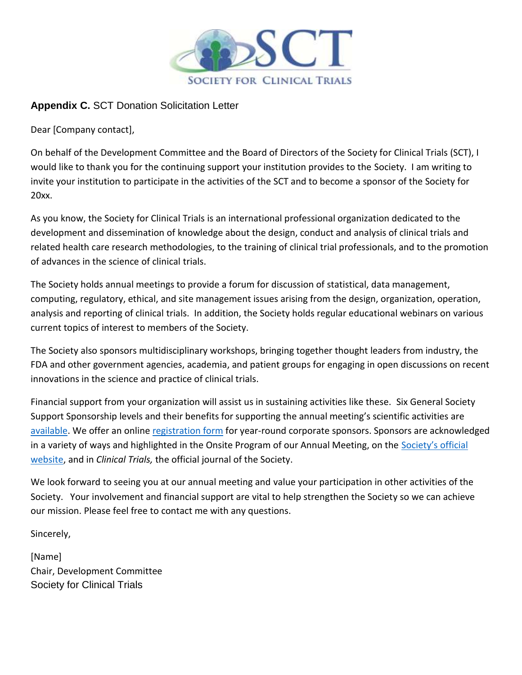

### **Appendix C.** SCT Donation Solicitation Letter

Dear [Company contact],

On behalf of the Development Committee and the Board of Directors of the Society for Clinical Trials (SCT), I would like to thank you for the continuing support your institution provides to the Society. I am writing to invite your institution to participate in the activities of the SCT and to become a sponsor of the Society for 20xx.

As you know, the Society for Clinical Trials is an international professional organization dedicated to the development and dissemination of knowledge about the design, conduct and analysis of clinical trials and related health care research methodologies, to the training of clinical trial professionals, and to the promotion of advances in the science of clinical trials.

The Society holds annual meetings to provide a forum for discussion of statistical, data management, computing, regulatory, ethical, and site management issues arising from the design, organization, operation, analysis and reporting of clinical trials. In addition, the Society holds regular educational webinars on various current topics of interest to members of the Society.

The Society also sponsors multidisciplinary workshops, bringing together thought leaders from industry, the FDA and other government agencies, academia, and patient groups for engaging in open discussions on recent innovations in the science and practice of clinical trials.

Financial support from your organization will assist us in sustaining activities like these. Six General Society Support Sponsorship levels and their benefits for supporting the annual meeting's scientific activities are [available.](http://www.sctweb.org/docs/sponsors/2017%20SCT%20Corporate%20Sponsorship%20Opportunities.pdf) We offer an onlin[e registration form](https://form.jotform.com/53204805479963) for year-round corporate sponsors. Sponsors are acknowledged in a variety of ways and highlighted in the Onsite Program of our Annual Meeting, on the Society's official [website,](http://www.sctweb.org/) and in *Clinical Trials,* the official journal of the Society.

We look forward to seeing you at our annual meeting and value your participation in other activities of the Society. Your involvement and financial support are vital to help strengthen the Society so we can achieve our mission. Please feel free to contact me with any questions.

Sincerely,

[Name] Chair, Development Committee Society for Clinical Trials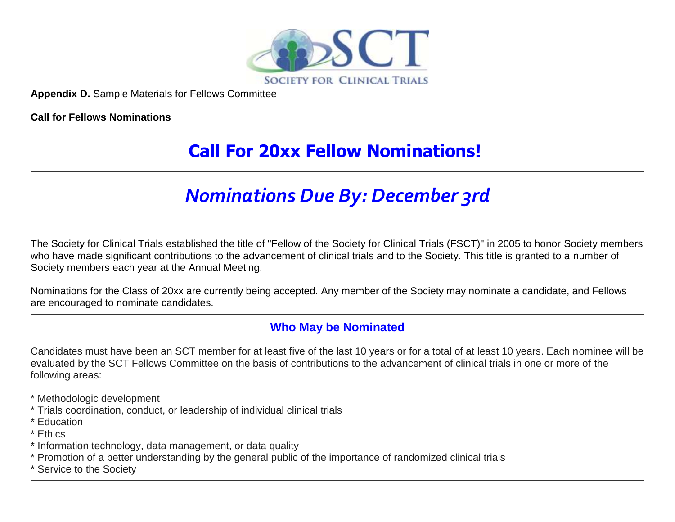

**Appendix D.** Sample Materials for Fellows Committee

**Call for Fellows Nominations**

## **Call For 20xx Fellow Nominations!**

# *Nominations Due By: December 3rd*

The Society for Clinical Trials established the title of "Fellow of the Society for Clinical Trials (FSCT)" in 2005 to honor Society members who have made significant contributions to the advancement of clinical trials and to the Society. This title is granted to a number of Society members each year at the Annual Meeting.

Nominations for the Class of 20xx are currently being accepted. Any member of the Society may nominate a candidate, and Fellows are encouraged to nominate candidates.

## **Who May be Nominated**

Candidates must have been an SCT member for at least five of the last 10 years or for a total of at least 10 years. Each nominee will be evaluated by the SCT Fellows Committee on the basis of contributions to the advancement of clinical trials in one or more of the following areas:

- \* Methodologic development
- \* Trials coordination, conduct, or leadership of individual clinical trials
- \* Education
- \* Ethics
- \* Information technology, data management, or data quality
- \* Promotion of a better understanding by the general public of the importance of randomized clinical trials
- \* Service to the Society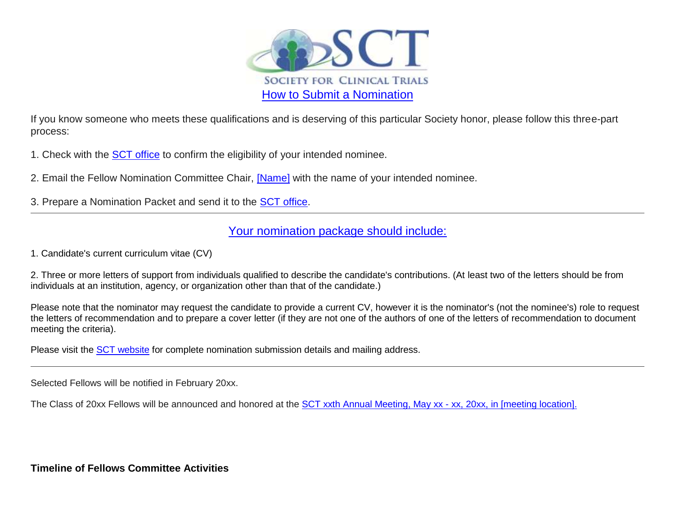

If you know someone who meets these qualifications and is deserving of this particular Society honor, please follow this three-part process:

1. Check with the [SCT office](mailto:sct@fernley.com) to confirm the eligibility of your intended nominee.

2. Email the Fellow Nomination Committee Chair, [\[Name\]](mailto:susan.halabi@duke.edu) with the name of your intended nominee.

3. Prepare a Nomination Packet and send it to the **SCT** office.

## Your nomination package should include:

1. Candidate's current curriculum vitae (CV)

2. Three or more letters of support from individuals qualified to describe the candidate's contributions. (At least two of the letters should be from individuals at an institution, agency, or organization other than that of the candidate.)

Please note that the nominator may request the candidate to provide a current CV, however it is the nominator's (not the nominee's) role to request the letters of recommendation and to prepare a cover letter (if they are not one of the authors of one of the letters of recommendation to document meeting the criteria).

Please visit the [SCT website](http://r20.rs6.net/tn.jsp?f=0014ldEx1jmaeK_Rf4lkLT0AD498xeDHNHlHc-Xwbf6z5vZNmOfgA5jE1Pz6m7zQCxpdurHM7nD32c-8rb0ezcGlIbn2ohRxmgRnNnBYSJzvHG5-RJ7QAwHaAhpim8OhqX6NWuQWaWbnE86l2j530LWBO2KXKe44mBfmh6X7ROQD_iQs4UQZ3R8H_ZztXnqNQ5sBOx95WRZN1pW4h2kln00b3okIKhllbokC7snMNe_B9E=&c=aEftkj4PCAUD8Lf2T4ARRZ2zBhf8gvnlrxgCmY_4L8du95uJmxUR8A==&ch=dYqrEXUP6xkb-lFtZyLhOPQN946XcFqHu-vWPyVDj7Ym5IZw-VxRvg==) for complete nomination submission details and mailing address.

Selected Fellows will be notified in February 20xx.

The Class of 20xx Fellows will be announced and honored at the [SCT xxth Annual Meeting, May xx -](http://r20.rs6.net/tn.jsp?f=0014ldEx1jmaeK_Rf4lkLT0AD498xeDHNHlHc-Xwbf6z5vZNmOfgA5jE-LB_5ViurWKZ074ggPXCR1XmGpkC_zuLPx7xG6BTBbkP_td_I7z3CW-vGqJ0xy8q8gnP5WseKP-8WU1Sh8ZuFMnT2pyVw8xNrZlczzQGvncR8e2dKpaDvQ=&c=aEftkj4PCAUD8Lf2T4ARRZ2zBhf8gvnlrxgCmY_4L8du95uJmxUR8A==&ch=dYqrEXUP6xkb-lFtZyLhOPQN946XcFqHu-vWPyVDj7Ym5IZw-VxRvg==) xx, 20xx, in [meeting location].

**Timeline of Fellows Committee Activities**